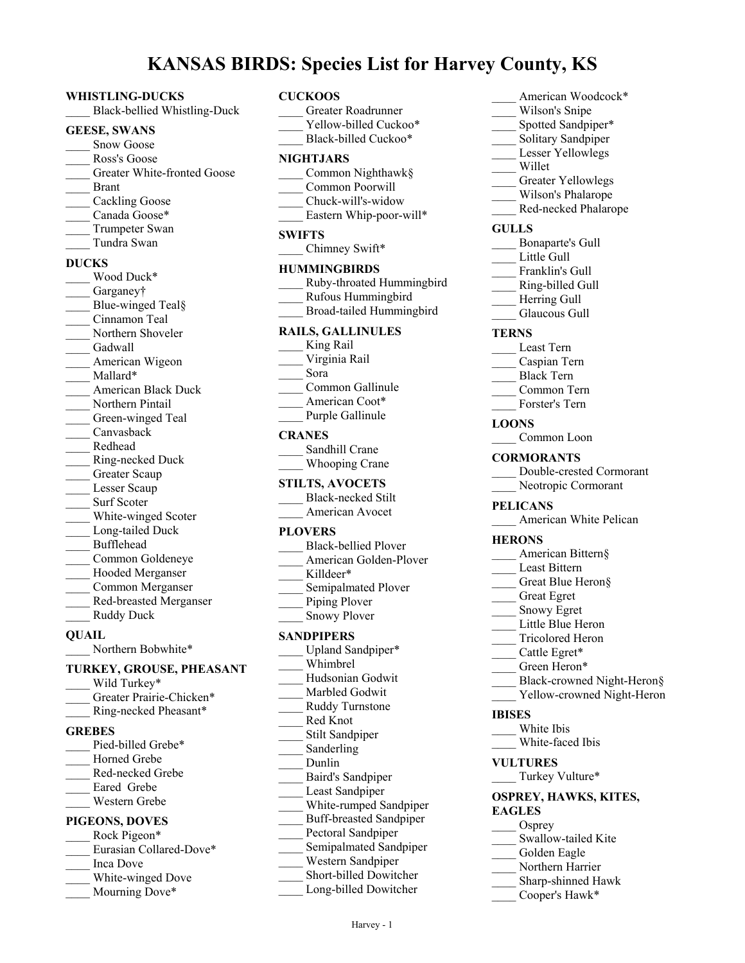# **KANSAS BIRDS: Species List for Harvey County, KS**

\_\_\_\_ Greater Roadrunner

### **WHISTLING-DUCKS**

\_\_\_\_ Black-bellied Whistling-Duck

#### **GEESE, SWANS**

- Snow Goose \_\_\_\_ Ross's Goose Greater White-fronted Goose
- \_\_\_\_ Brant
- Cackling Goose
- Canada Goose\*
- Trumpeter Swan
- \_\_\_\_ Tundra Swan

#### **DUCKS**

\_\_\_\_ Wood Duck\* Garganey† Blue-winged Teal§ \_\_\_\_ Cinnamon Teal Northern Shoveler Gadwall American Wigeon Mallard\* \_\_\_\_ American Black Duck Northern Pintail Green-winged Teal \_\_\_\_ Canvasback \_\_\_\_ Redhead \_\_\_\_ Ring-necked Duck Greater Scaup Lesser Scaup Surf Scoter White-winged Scoter Long-tailed Duck \_\_\_\_ Bufflehead \_\_\_\_ Common Goldeneye Hooded Merganser \_\_\_\_ Common Merganser \_\_\_\_ Red-breasted Merganser \_\_\_\_ Ruddy Duck

#### **QUAIL**

Northern Bobwhite\*

# **TURKEY, GROUSE, PHEASANT**

Wild Turkey\* Greater Prairie-Chicken\* \_\_\_\_ Ring-necked Pheasant\* **GREBES** Pied-billed Grebe\* Horned Grebe \_\_\_\_ Red-necked Grebe Eared Grebe \_\_\_\_ Western Grebe **PIGEONS, DOVES** Rock Pigeon\* Eurasian Collared-Dove\* \_\_\_\_ Inca Dove White-winged Dove Mourning Dove\*

#### **CUCKOOS**

| Yellow-billed Cuckoo*<br>Black-billed Cuckoo*                                                                                                                                                                                                                                                     |
|---------------------------------------------------------------------------------------------------------------------------------------------------------------------------------------------------------------------------------------------------------------------------------------------------|
| <b>NIGHTJARS</b><br>Common Nighthawk§<br>Common Poorwill<br>Chuck-will's-widow<br>Eastern Whip-poor-will*                                                                                                                                                                                         |
| <b>SWIFTS</b><br>Chimney Swift*                                                                                                                                                                                                                                                                   |
| <b>HUMMINGBIRDS</b><br>Ruby-throated Hummingbird<br>Rufous Hummingbird<br>Broad-tailed Hummingbird                                                                                                                                                                                                |
| <b>RAILS, GALLINULES</b><br>King Rail<br>Virginia Rail<br>Sora                                                                                                                                                                                                                                    |
| Common Gallinule<br>American Coot*<br>Purple Gallinule                                                                                                                                                                                                                                            |
| <b>CRANES</b><br>Sandhill Crane<br><b>Whooping Crane</b>                                                                                                                                                                                                                                          |
| <b>STILTS, AVOCETS</b><br>Black-necked Stilt<br>American Avocet                                                                                                                                                                                                                                   |
| <b>PLOVERS</b><br><b>Black-bellied Plover</b><br>American Golden-Plover<br>Killdeer*<br>Semipalmated Plover<br>Piping Plover<br><b>Snowy Plover</b>                                                                                                                                               |
| <b>SANDPIPERS</b><br>Upland Sandpiper*                                                                                                                                                                                                                                                            |
| Whimbrel<br>Hudsonian Godwit<br>Marbled Godwit<br>Ruddy Turnstone<br>Red Knot<br>Stilt Sandpiper<br>Sanderling<br>Dunlin<br>Baird's Sandpiper<br>Least Sandpiper<br>White-rumped Sandpiper<br><b>Buff-breasted Sandpiper</b><br>Pectoral Sandpiper<br>Semipalmated Sandpiper<br>Western Sandpiper |
| Short-billed Dowitcher<br>Long-billed Dowitcher                                                                                                                                                                                                                                                   |

| American Woodcock*                            |
|-----------------------------------------------|
| Wilson's Snipe                                |
| Spotted Sandpiper*                            |
| Solitary Sandpiper                            |
| Lesser Yellowlegs                             |
| Willet                                        |
| Greater Yellowlegs                            |
| Wilson's Phalarope                            |
| Red-necked Phalarope                          |
| <b>GULLS</b>                                  |
| Bonaparte's Gull                              |
| Little Gull                                   |
| Franklin's Gull<br>Ring-billed Gull           |
|                                               |
| $\frac{1}{2}$ Herring Gull                    |
| Glaucous Gull                                 |
| <b>TERNS</b>                                  |
| Least Tern                                    |
| Caspian Tern                                  |
| <b>Black Tern</b>                             |
| Common Tern                                   |
| Forster's Tern                                |
| <b>LOONS</b>                                  |
| Common Loon                                   |
|                                               |
| <b>CORMORANTS</b><br>Double-crested Cormorant |
| Neotropic Cormorant                           |
|                                               |
|                                               |
| <b>PELICANS</b><br>American White Pelican     |
|                                               |
| <b>HERONS</b>                                 |
| American Bittern§                             |
| Least Bittern                                 |
| Great Blue Heron§                             |
| Great Egret                                   |
| Snowy Egret<br>Little Blue Heron              |
| Tricolored Heron                              |
| Cattle Egret*                                 |
| Green Heron*                                  |
| Black-crowned Night-Heron§                    |
| Yellow-crowned Night-Heron                    |
| IBISES                                        |
| White Ibis                                    |
| White-faced Ibis                              |
|                                               |
| <b>VULTURES</b><br>Turkey Vulture*            |
|                                               |
| <b>OSPREY, HAWKS, KITES,</b><br><b>EAGLES</b> |
|                                               |
| Osprey<br>Swallow-tailed Kite                 |
| Golden Eagle                                  |
| Northern Harrier                              |
| Sharp-shinned Hawk                            |
| Cooper's Hawk*                                |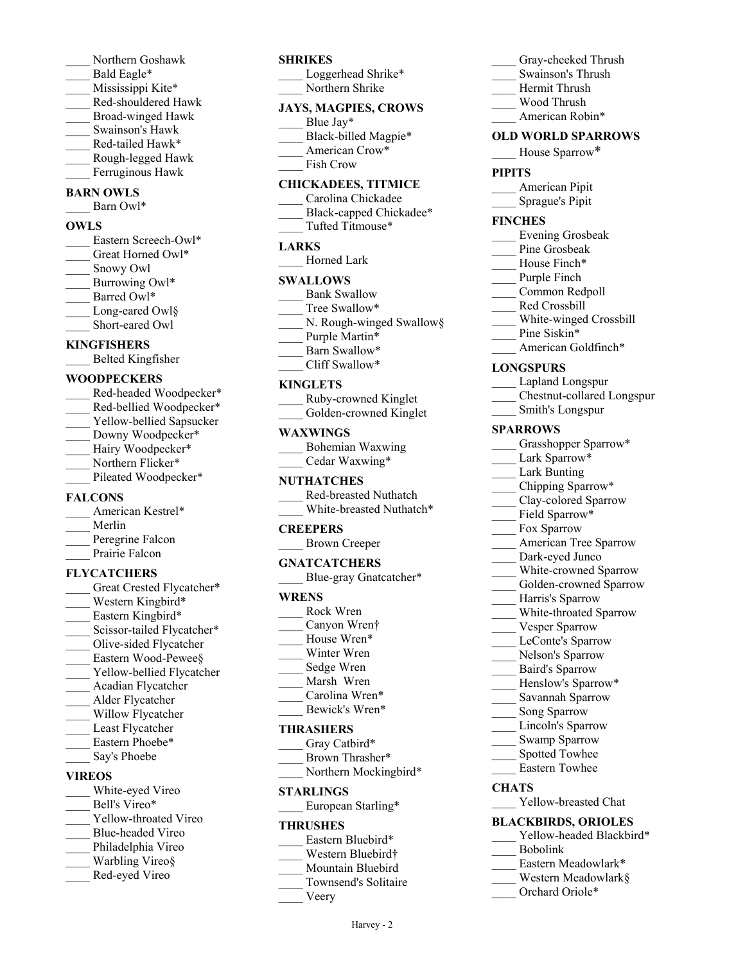- \_\_\_\_ Northern Goshawk Bald Eagle\*
- Mississippi Kite\*
- \_\_\_\_ Red-shouldered Hawk
- \_\_\_\_ Broad-winged Hawk
- \_\_\_\_ Swainson's Hawk
- Red-tailed Hawk\*
- \_\_\_\_ Rough-legged Hawk
- Ferruginous Hawk

# **BARN OWLS**

Barn Owl\*

# **OWLS**

Eastern Screech-Owl\* Great Horned Owl\* \_\_\_\_ Snowy Owl Burrowing Owl\* Barred Owl\* Long-eared Owl§ Short-eared Owl

# **KINGFISHERS**

\_\_\_\_ Belted Kingfisher

# **WOODPECKERS**

Red-headed Woodpecker\* Red-bellied Woodpecker\* Yellow-bellied Sapsucker Downy Woodpecker\* Hairy Woodpecker\* Northern Flicker\* Pileated Woodpecker\*

# **FALCONS**

| American Kestrel* |
|-------------------|
| Merlin            |
| Peregrine Falcon  |
| Prairie Falcon    |

# **FLYCATCHERS**

Great Crested Flycatcher\* Western Kingbird\* Eastern Kingbird\* Scissor-tailed Flycatcher\* \_\_\_\_ Olive-sided Flycatcher Eastern Wood-Pewee§ Yellow-bellied Flycatcher \_\_\_\_ Acadian Flycatcher \_\_\_\_ Alder Flycatcher Willow Flycatcher Least Flycatcher Eastern Phoebe\* Say's Phoebe

# **VIREOS**

White-eyed Vireo Bell's Vireo\* Yellow-throated Vireo \_\_\_\_ Blue-headed Vireo Philadelphia Vireo Warbling Vireo§ \_\_\_\_ Red-eyed Vireo

# **SHRIKES**

Loggerhead Shrike\* Northern Shrike

# **JAYS, MAGPIES, CROWS**

- Blue Jay\*
- Black-billed Magpie\*
- American Crow\*
- Fish Crow

# **CHICKADEES, TITMICE**

\_\_\_\_ Carolina Chickadee Black-capped Chickadee\* \_\_\_\_ Tufted Titmouse\*

# **LARKS**

Horned Lark

# **SWALLOWS**

- Bank Swallow
- Tree Swallow\*
- N. Rough-winged Swallow§
- Purple Martin\*
- Barn Swallow\* \_\_\_\_ Cliff Swallow\*
- **KINGLETS**

|  | Ruby-crowned Kinglet |   |  |
|--|----------------------|---|--|
|  |                      | . |  |

| Golden-crowned Kinglet |  |
|------------------------|--|
|                        |  |

#### **WAXWINGS**

| Bohemian Waxwing |
|------------------|
| Cedar Waxwing*   |

# **NUTHATCHES**

| Red-breasted Nuthatch    |
|--------------------------|
| White-breasted Nuthatch* |

# **CREEPERS**

| <b>Brown Creeper</b> |  |
|----------------------|--|
|----------------------|--|

# **GNATCATCHERS**

Blue-gray Gnatcatcher\*

# **WRENS**

- \_\_\_\_ Rock Wren
- Canyon Wren†
- House Wren\*
- Winter Wren \_\_\_\_ Sedge Wren
- Marsh Wren
- Carolina Wren\*
- Bewick's Wren\*

# **THRASHERS**

- Gray Catbird\*
- Brown Thrasher\*
- Northern Mockingbird\*

# **STARLINGS**

European Starling\*

# **THRUSHES**

- Eastern Bluebird\*
- Western Bluebird†
- \_\_\_\_ Mountain Bluebird
- \_\_\_\_ Townsend's Solitaire

Harvey - 2

\_\_\_\_ Veery

# Gray-cheeked Thrush

- \_\_\_\_ Swainson's Thrush
- \_\_\_\_ Hermit Thrush
- \_\_\_\_ Wood Thrush
- American Robin\*

# **OLD WORLD SPARROWS**

House Sparrow\*

#### **PIPITS**

- American Pipit
- \_\_\_\_ Sprague's Pipit

# **FINCHES**

- \_\_\_\_ Evening Grosbeak
- Pine Grosbeak
- House Finch\*
- Purple Finch
- \_\_\_\_ Common Redpoll
- Red Crossbill
- White-winged Crossbill
- Pine Siskin\*
- American Goldfinch\*

# **LONGSPURS**

- Lapland Longspur
- \_\_\_\_ Chestnut-collared Longspur
- \_\_\_\_ Smith's Longspur

#### **SPARROWS**

- Grasshopper Sparrow\*
- Lark Sparrow\*
- Lark Bunting
- Chipping Sparrow\*
- Clay-colored Sparrow Field Sparrow\*

Fox Sparrow

\_\_\_\_ Harris's Sparrow \_\_\_\_ White-throated Sparrow

Vesper Sparrow LeConte's Sparrow Nelson's Sparrow \_\_\_\_ Baird's Sparrow Henslow's Sparrow\* \_\_\_\_ Savannah Sparrow Song Sparrow Lincoln's Sparrow Swamp Sparrow Spotted Towhee \_\_\_\_ Eastern Towhee

Yellow-breasted Chat **BLACKBIRDS, ORIOLES**

> Eastern Meadowlark\* Western Meadowlark§ Orchard Oriole\*

\_\_\_\_ Bobolink

Yellow-headed Blackbird\*

**CHATS**

American Tree Sparrow Dark-eyed Junco White-crowned Sparrow Golden-crowned Sparrow